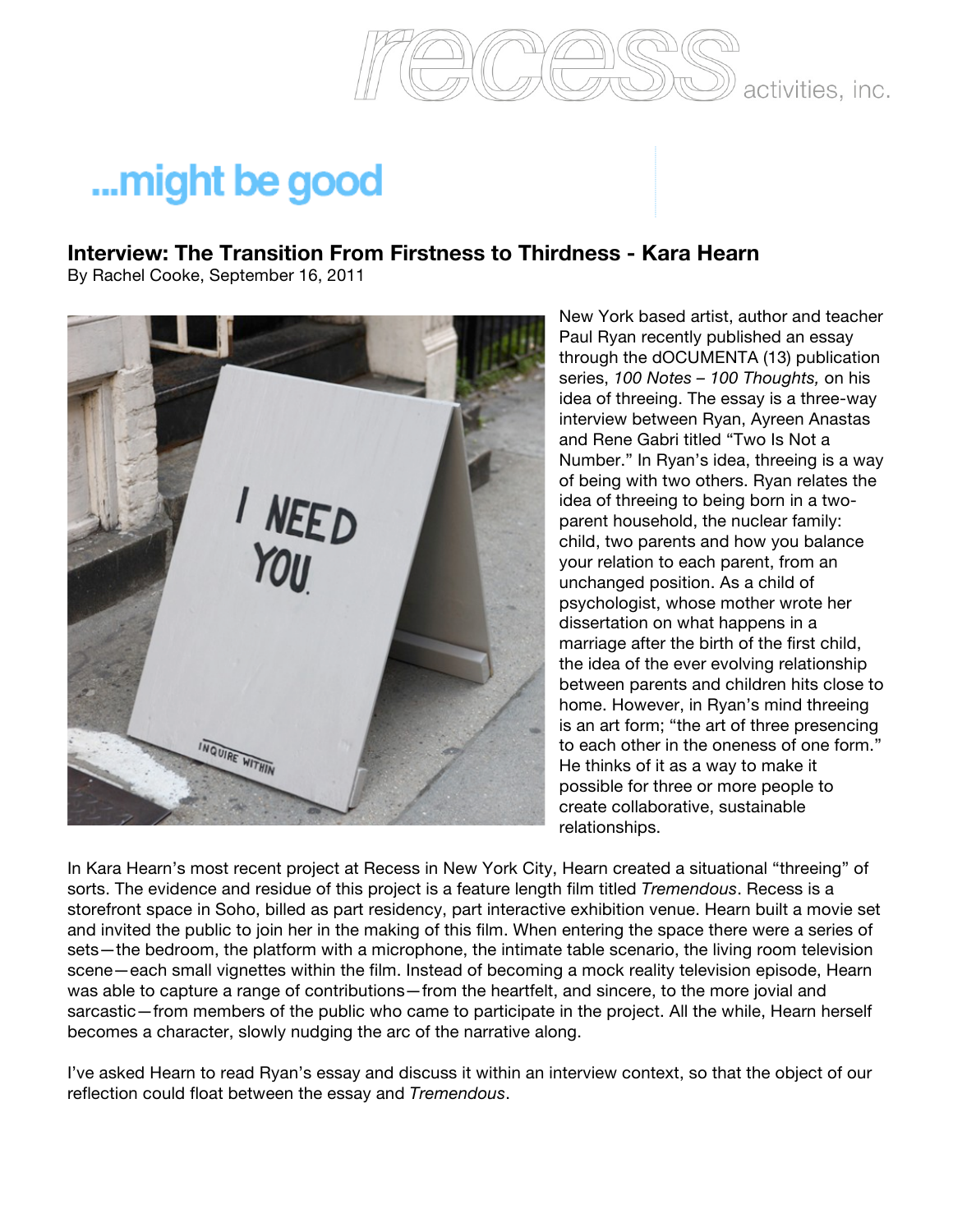

activities, inc.

## ...might be good

## **Interview: The Transition From Firstness to Thirdness - Kara Hearn**

By Rachel Cooke, September 16, 2011



New York based artist, author and teacher Paul Ryan recently published an essay through the dOCUMENTA (13) publication series, *100 Notes – 100 Thoughts,* on his idea of threeing. The essay is a three-way interview between Ryan, Ayreen Anastas and Rene Gabri titled "Two Is Not a Number." In Ryan's idea, threeing is a way of being with two others. Ryan relates the idea of threeing to being born in a twoparent household, the nuclear family: child, two parents and how you balance your relation to each parent, from an unchanged position. As a child of psychologist, whose mother wrote her dissertation on what happens in a marriage after the birth of the first child, the idea of the ever evolving relationship between parents and children hits close to home. However, in Ryan's mind threeing is an art form; "the art of three presencing to each other in the oneness of one form." He thinks of it as a way to make it possible for three or more people to create collaborative, sustainable relationships.

In Kara Hearn's most recent project at Recess in New York City, Hearn created a situational "threeing" of sorts. The evidence and residue of this project is a feature length film titled *Tremendous*. Recess is a storefront space in Soho, billed as part residency, part interactive exhibition venue. Hearn built a movie set and invited the public to join her in the making of this film. When entering the space there were a series of sets—the bedroom, the platform with a microphone, the intimate table scenario, the living room television scene—each small vignettes within the film. Instead of becoming a mock reality television episode, Hearn was able to capture a range of contributions—from the heartfelt, and sincere, to the more jovial and sarcastic—from members of the public who came to participate in the project. All the while, Hearn herself becomes a character, slowly nudging the arc of the narrative along.

I've asked Hearn to read Ryan's essay and discuss it within an interview context, so that the object of our reflection could float between the essay and *Tremendous*.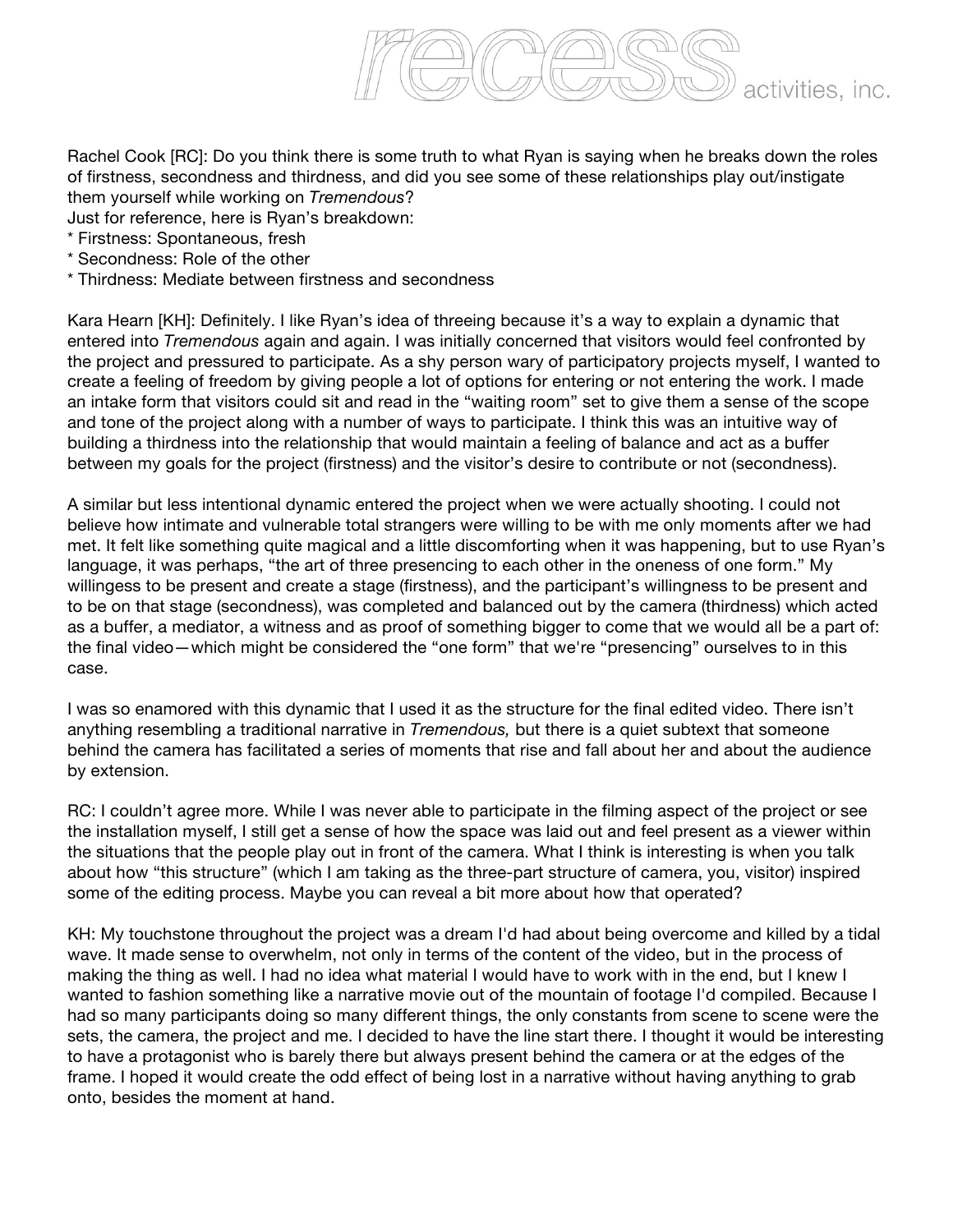

Rachel Cook [RC]: Do you think there is some truth to what Ryan is saying when he breaks down the roles of firstness, secondness and thirdness, and did you see some of these relationships play out/instigate them yourself while working on *Tremendous*?

Just for reference, here is Ryan's breakdown:

- \* Firstness: Spontaneous, fresh
- \* Secondness: Role of the other
- \* Thirdness: Mediate between firstness and secondness

Kara Hearn [KH]: Definitely. I like Ryan's idea of threeing because it's a way to explain a dynamic that entered into *Tremendous* again and again. I was initially concerned that visitors would feel confronted by the project and pressured to participate. As a shy person wary of participatory projects myself, I wanted to create a feeling of freedom by giving people a lot of options for entering or not entering the work. I made an intake form that visitors could sit and read in the "waiting room" set to give them a sense of the scope and tone of the project along with a number of ways to participate. I think this was an intuitive way of building a thirdness into the relationship that would maintain a feeling of balance and act as a buffer between my goals for the project (firstness) and the visitor's desire to contribute or not (secondness).

A similar but less intentional dynamic entered the project when we were actually shooting. I could not believe how intimate and vulnerable total strangers were willing to be with me only moments after we had met. It felt like something quite magical and a little discomforting when it was happening, but to use Ryan's language, it was perhaps, "the art of three presencing to each other in the oneness of one form." My willingess to be present and create a stage (firstness), and the participant's willingness to be present and to be on that stage (secondness), was completed and balanced out by the camera (thirdness) which acted as a buffer, a mediator, a witness and as proof of something bigger to come that we would all be a part of: the final video—which might be considered the "one form" that we're "presencing" ourselves to in this case.

I was so enamored with this dynamic that I used it as the structure for the final edited video. There isn't anything resembling a traditional narrative in *Tremendous,* but there is a quiet subtext that someone behind the camera has facilitated a series of moments that rise and fall about her and about the audience by extension.

RC: I couldn't agree more. While I was never able to participate in the filming aspect of the project or see the installation myself, I still get a sense of how the space was laid out and feel present as a viewer within the situations that the people play out in front of the camera. What I think is interesting is when you talk about how "this structure" (which I am taking as the three-part structure of camera, you, visitor) inspired some of the editing process. Maybe you can reveal a bit more about how that operated?

KH: My touchstone throughout the project was a dream I'd had about being overcome and killed by a tidal wave. It made sense to overwhelm, not only in terms of the content of the video, but in the process of making the thing as well. I had no idea what material I would have to work with in the end, but I knew I wanted to fashion something like a narrative movie out of the mountain of footage I'd compiled. Because I had so many participants doing so many different things, the only constants from scene to scene were the sets, the camera, the project and me. I decided to have the line start there. I thought it would be interesting to have a protagonist who is barely there but always present behind the camera or at the edges of the frame. I hoped it would create the odd effect of being lost in a narrative without having anything to grab onto, besides the moment at hand.